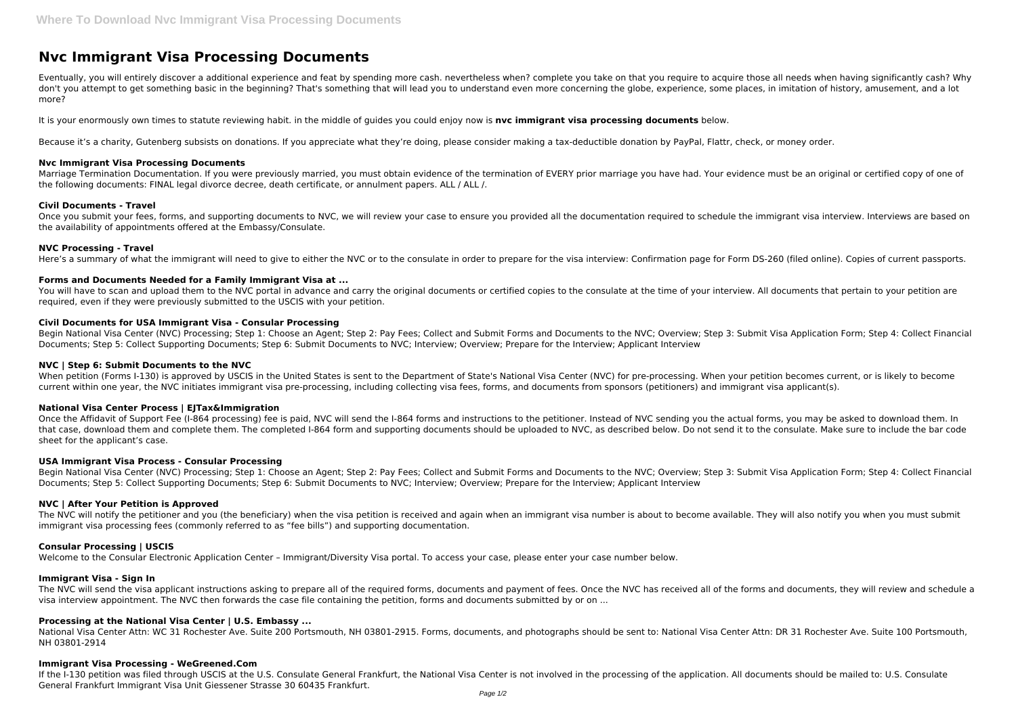# **Nvc Immigrant Visa Processing Documents**

Eventually, you will entirely discover a additional experience and feat by spending more cash. nevertheless when? complete you take on that you require to acquire those all needs when having significantly cash? Why don't you attempt to get something basic in the beginning? That's something that will lead you to understand even more concerning the globe, experience, some places, in imitation of history, amusement, and a lot more?

It is your enormously own times to statute reviewing habit. in the middle of guides you could enjoy now is **nvc immigrant visa processing documents** below.

Once you submit your fees, forms, and supporting documents to NVC, we will review your case to ensure you provided all the documentation required to schedule the immigrant visa interview. Interviews are based on the availability of appointments offered at the Embassy/Consulate.

Because it's a charity, Gutenberg subsists on donations. If you appreciate what they're doing, please consider making a tax-deductible donation by PayPal, Flattr, check, or money order.

## **Nvc Immigrant Visa Processing Documents**

You will have to scan and upload them to the NVC portal in advance and carry the original documents or certified copies to the consulate at the time of your interview. All documents that pertain to your petition are required, even if they were previously submitted to the USCIS with your petition.

Marriage Termination Documentation. If you were previously married, you must obtain evidence of the termination of EVERY prior marriage you have had. Your evidence must be an original or certified copy of one of the following documents: FINAL legal divorce decree, death certificate, or annulment papers. ALL / ALL /.

### **Civil Documents - Travel**

Begin National Visa Center (NVC) Processing; Step 1: Choose an Agent; Step 2: Pay Fees; Collect and Submit Forms and Documents to the NVC; Overview; Step 3: Submit Visa Application Form; Step 4: Collect Financial Documents; Step 5: Collect Supporting Documents; Step 6: Submit Documents to NVC; Interview; Overview; Prepare for the Interview; Applicant Interview

When petition (Forms I-130) is approved by USCIS in the United States is sent to the Department of State's National Visa Center (NVC) for pre-processing. When your petition becomes current, or is likely to become current within one year, the NVC initiates immigrant visa pre-processing, including collecting visa fees, forms, and documents from sponsors (petitioners) and immigrant visa applicant(s).

## **NVC Processing - Travel**

Here's a summary of what the immigrant will need to give to either the NVC or to the consulate in order to prepare for the visa interview: Confirmation page for Form DS-260 (filed online). Copies of current passports.

Once the Affidavit of Support Fee (I-864 processing) fee is paid, NVC will send the I-864 forms and instructions to the petitioner. Instead of NVC sending you the actual forms, you may be asked to download them. In that case, download them and complete them. The completed I-864 form and supporting documents should be uploaded to NVC, as described below. Do not send it to the consulate. Make sure to include the bar code sheet for the applicant's case.

## **Forms and Documents Needed for a Family Immigrant Visa at ...**

The NVC will notify the petitioner and you (the beneficiary) when the visa petition is received and again when an immigrant visa number is about to become available. They will also notify you when you must submit immigrant visa processing fees (commonly referred to as "fee bills") and supporting documentation.

### **Civil Documents for USA Immigrant Visa - Consular Processing**

The NVC will send the visa applicant instructions asking to prepare all of the required forms, documents and payment of fees. Once the NVC has received all of the forms and documents, they will review and schedule a visa interview appointment. The NVC then forwards the case file containing the petition, forms and documents submitted by or on ...

## **NVC | Step 6: Submit Documents to the NVC**

If the I-130 petition was filed through USCIS at the U.S. Consulate General Frankfurt, the National Visa Center is not involved in the processing of the application. All documents should be mailed to: U.S. Consulate General Frankfurt Immigrant Visa Unit Giessener Strasse 30 60435 Frankfurt.

## **National Visa Center Process | EJTax&Immigration**

## **USA Immigrant Visa Process - Consular Processing**

Begin National Visa Center (NVC) Processing; Step 1: Choose an Agent; Step 2: Pay Fees; Collect and Submit Forms and Documents to the NVC; Overview; Step 3: Submit Visa Application Form; Step 4: Collect Financial Documents; Step 5: Collect Supporting Documents; Step 6: Submit Documents to NVC; Interview; Overview; Prepare for the Interview; Applicant Interview

## **NVC | After Your Petition is Approved**

## **Consular Processing | USCIS**

Welcome to the Consular Electronic Application Center – Immigrant/Diversity Visa portal. To access your case, please enter your case number below.

## **Immigrant Visa - Sign In**

## **Processing at the National Visa Center | U.S. Embassy ...**

National Visa Center Attn: WC 31 Rochester Ave. Suite 200 Portsmouth, NH 03801-2915. Forms, documents, and photographs should be sent to: National Visa Center Attn: DR 31 Rochester Ave. Suite 100 Portsmouth, NH 03801-2914

#### **Immigrant Visa Processing - WeGreened.Com**